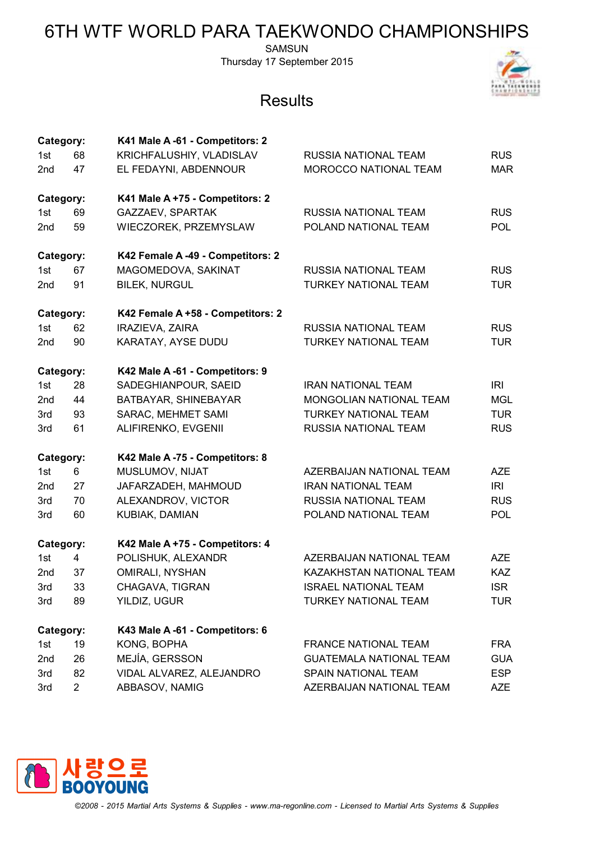## 6TH WTF WORLD PARA TAEKWONDO CHAMPIONSHIPS

SAMSUN Thursday 17 September 2015



## **Results**

| Category:       |                | K41 Male A -61 - Competitors: 2   |                                |            |
|-----------------|----------------|-----------------------------------|--------------------------------|------------|
| 1st             | 68             | KRICHFALUSHIY, VLADISLAV          | <b>RUSSIA NATIONAL TEAM</b>    | <b>RUS</b> |
| 2 <sub>nd</sub> | 47             | EL FEDAYNI, ABDENNOUR             | MOROCCO NATIONAL TEAM          | <b>MAR</b> |
| Category:       |                | K41 Male A +75 - Competitors: 2   |                                |            |
| 1st             | 69             | GAZZAEV, SPARTAK                  | <b>RUSSIA NATIONAL TEAM</b>    | <b>RUS</b> |
| 2 <sub>nd</sub> | 59             | WIECZOREK, PRZEMYSLAW             | POLAND NATIONAL TEAM           | <b>POL</b> |
| Category:       |                | K42 Female A -49 - Competitors: 2 |                                |            |
| 1st             | 67             | MAGOMEDOVA, SAKINAT               | <b>RUSSIA NATIONAL TEAM</b>    | <b>RUS</b> |
| 2 <sub>nd</sub> | 91             | <b>BILEK, NURGUL</b>              | <b>TURKEY NATIONAL TEAM</b>    | <b>TUR</b> |
| Category:       |                | K42 Female A +58 - Competitors: 2 |                                |            |
| 1st             | 62             | IRAZIEVA, ZAIRA                   | RUSSIA NATIONAL TEAM           | <b>RUS</b> |
| 2 <sub>nd</sub> | 90             | KARATAY, AYSE DUDU                | <b>TURKEY NATIONAL TEAM</b>    | <b>TUR</b> |
| Category:       |                | K42 Male A -61 - Competitors: 9   |                                |            |
| 1st             | 28             | SADEGHIANPOUR, SAEID              | <b>IRAN NATIONAL TEAM</b>      | <b>IRI</b> |
| 2 <sub>nd</sub> | 44             | BATBAYAR, SHINEBAYAR              | MONGOLIAN NATIONAL TEAM        | <b>MGL</b> |
| 3rd             | 93             | SARAC, MEHMET SAMI                | <b>TURKEY NATIONAL TEAM</b>    | <b>TUR</b> |
| 3rd             | 61             | ALIFIRENKO, EVGENII               | <b>RUSSIA NATIONAL TEAM</b>    | <b>RUS</b> |
| Category:       |                | K42 Male A-75 - Competitors: 8    |                                |            |
| 1st             | 6              | MUSLUMOV, NIJAT                   | AZERBAIJAN NATIONAL TEAM       | <b>AZE</b> |
| 2nd             | 27             | JAFARZADEH, MAHMOUD               | <b>IRAN NATIONAL TEAM</b>      | IRI        |
| 3rd             | 70             | ALEXANDROV, VICTOR                | <b>RUSSIA NATIONAL TEAM</b>    | <b>RUS</b> |
| 3rd             | 60             | KUBIAK, DAMIAN                    | POLAND NATIONAL TEAM           | <b>POL</b> |
| Category:       |                | K42 Male A +75 - Competitors: 4   |                                |            |
| 1st             | 4              | POLISHUK, ALEXANDR                | AZERBAIJAN NATIONAL TEAM       | <b>AZE</b> |
| 2nd             | 37             | OMIRALI, NYSHAN                   | KAZAKHSTAN NATIONAL TEAM       | <b>KAZ</b> |
| 3rd             | 33             | CHAGAVA, TIGRAN                   | <b>ISRAEL NATIONAL TEAM</b>    | <b>ISR</b> |
| 3rd             | 89             | YILDIZ, UGUR                      | <b>TURKEY NATIONAL TEAM</b>    | <b>TUR</b> |
| Category:       |                | K43 Male A -61 - Competitors: 6   |                                |            |
| 1st             | 19             | KONG, BOPHA                       | <b>FRANCE NATIONAL TEAM</b>    | <b>FRA</b> |
| 2nd             | 26             | MEJÍA, GERSSON                    | <b>GUATEMALA NATIONAL TEAM</b> | <b>GUA</b> |
| 3rd             | 82             | VIDAL ALVAREZ, ALEJANDRO          | SPAIN NATIONAL TEAM            | <b>ESP</b> |
| 3rd             | $\overline{2}$ | ABBASOV, NAMIG                    | AZERBAIJAN NATIONAL TEAM       | <b>AZE</b> |